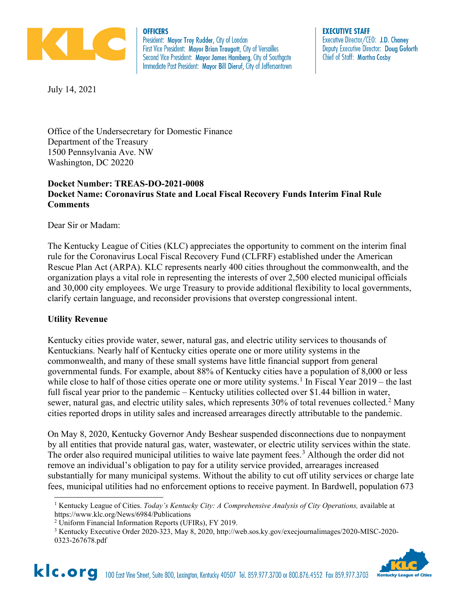

**OFFICERS** President: Mayor Troy Rudder, City of London First Vice President: Mayor Brian Traugott, City of Versailles Second Vice President: Mayor James Hamberg, City of Southgate Immediate Past President: Mayor Bill Dieruf, City of Jeffersontown **EXECUTIVE STAFF** Executive Director/CEO: J.D. Chaney Deputy Executive Director: Doug Goforth Chief of Staff: Martha Cosby

July 14, 2021

Office of the Undersecretary for Domestic Finance Department of the Treasury 1500 Pennsylvania Ave. NW Washington, DC 20220

# **Docket Number: TREAS-DO-2021-0008 Docket Name: Coronavirus State and Local Fiscal Recovery Funds Interim Final Rule Comments**

Dear Sir or Madam:

The Kentucky League of Cities (KLC) appreciates the opportunity to comment on the interim final rule for the Coronavirus Local Fiscal Recovery Fund (CLFRF) established under the American Rescue Plan Act (ARPA). KLC represents nearly 400 cities throughout the commonwealth, and the organization plays a vital role in representing the interests of over 2,500 elected municipal officials and 30,000 city employees. We urge Treasury to provide additional flexibility to local governments, clarify certain language, and reconsider provisions that overstep congressional intent.

# **Utility Revenue**

Kentucky cities provide water, sewer, natural gas, and electric utility services to thousands of Kentuckians. Nearly half of Kentucky cities operate one or more utility systems in the commonwealth, and many of these small systems have little financial support from general governmental funds. For example, about 88% of Kentucky cities have a population of 8,000 or less while close to half of those cities operate one or more utility systems.<sup>[1](#page-0-0)</sup> In Fiscal Year  $2019$  – the last full fiscal year prior to the pandemic – Kentucky utilities collected over \$1.44 billion in water, sewer, natural gas, and electric utility sales, which represents  $30\%$  of total revenues collected.<sup>[2](#page-0-1)</sup> Many cities reported drops in utility sales and increased arrearages directly attributable to the pandemic.

On May 8, 2020, Kentucky Governor Andy Beshear suspended disconnections due to nonpayment by all entities that provide natural gas, water, wastewater, or electric utility services within the state. The order also required municipal utilities to waive late payment fees.<sup>[3](#page-0-2)</sup> Although the order did not remove an individual's obligation to pay for a utility service provided, arrearages increased substantially for many municipal systems. Without the ability to cut off utility services or charge late fees, municipal utilities had no enforcement options to receive payment. In Bardwell, population 673

<span id="page-0-2"></span><span id="page-0-1"></span><sup>3</sup> Kentucky Executive Order 2020-323, May 8, 2020, http://web.sos.ky.gov/execjournalimages/2020-MISC-2020- 0323-267678.pdf



<span id="page-0-0"></span><sup>1</sup> Kentucky League of Cities. *Today's Kentucky City: A Comprehensive Analysis of City Operations,* available at https://www.klc.org/News/6984/Publications

<sup>2</sup> Uniform Financial Information Reports (UFIRs), FY 2019.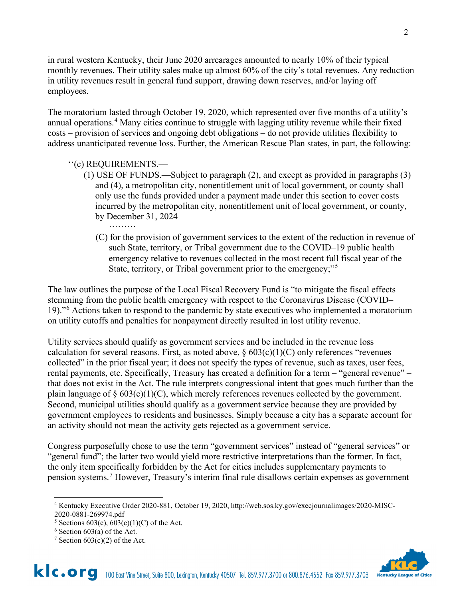in rural western Kentucky, their June 2020 arrearages amounted to nearly 10% of their typical monthly revenues. Their utility sales make up almost 60% of the city's total revenues. Any reduction in utility revenues result in general fund support, drawing down reserves, and/or laying off employees.

The moratorium lasted through October 19, 2020, which represented over five months of a utility's annual operations.<sup>[4](#page-1-0)</sup> Many cities continue to struggle with lagging utility revenue while their fixed costs – provision of services and ongoing debt obligations – do not provide utilities flexibility to address unanticipated revenue loss. Further, the American Rescue Plan states, in part, the following:

# ''(c) REQUIREMENTS.—

- (1) USE OF FUNDS.—Subject to paragraph (2), and except as provided in paragraphs (3) and (4), a metropolitan city, nonentitlement unit of local government, or county shall only use the funds provided under a payment made under this section to cover costs incurred by the metropolitan city, nonentitlement unit of local government, or county, by December 31, 2024— ·········
	- (C) for the provision of government services to the extent of the reduction in revenue of such State, territory, or Tribal government due to the COVID–19 public health emergency relative to revenues collected in the most recent full fiscal year of the State, territory, or Tribal government prior to the emergency;"<sup>[5](#page-1-1)</sup>

The law outlines the purpose of the Local Fiscal Recovery Fund is "to mitigate the fiscal effects stemming from the public health emergency with respect to the Coronavirus Disease (COVID– 19)."[6](#page-1-2) Actions taken to respond to the pandemic by state executives who implemented a moratorium on utility cutoffs and penalties for nonpayment directly resulted in lost utility revenue.

Utility services should qualify as government services and be included in the revenue loss calculation for several reasons. First, as noted above,  $\S 603(c)(1)(C)$  only references "revenues collected" in the prior fiscal year; it does not specify the types of revenue, such as taxes, user fees, rental payments, etc. Specifically, Treasury has created a definition for a term – "general revenue" – that does not exist in the Act. The rule interprets congressional intent that goes much further than the plain language of  $\S 603(c)(1)(C)$ , which merely references revenues collected by the government. Second, municipal utilities should qualify as a government service because they are provided by government employees to residents and businesses. Simply because a city has a separate account for an activity should not mean the activity gets rejected as a government service.

Congress purposefully chose to use the term "government services" instead of "general services" or "general fund"; the latter two would yield more restrictive interpretations than the former. In fact, the only item specifically forbidden by the Act for cities includes supplementary payments to pension systems. [7](#page-1-3) However, Treasury's interim final rule disallows certain expenses as government



2

<span id="page-1-0"></span><sup>4</sup> Kentucky Executive Order 2020-881, October 19, 2020, http://web.sos.ky.gov/execjournalimages/2020-MISC-2020-0881-269974.pdf

<span id="page-1-1"></span><sup>&</sup>lt;sup>5</sup> Sections 603(c),  $\overline{603(c)(1)(C)}$  of the Act.

<span id="page-1-2"></span> $6$  Section 603(a) of the Act.

<span id="page-1-3"></span><sup>&</sup>lt;sup>7</sup> Section  $603(c)(2)$  of the Act.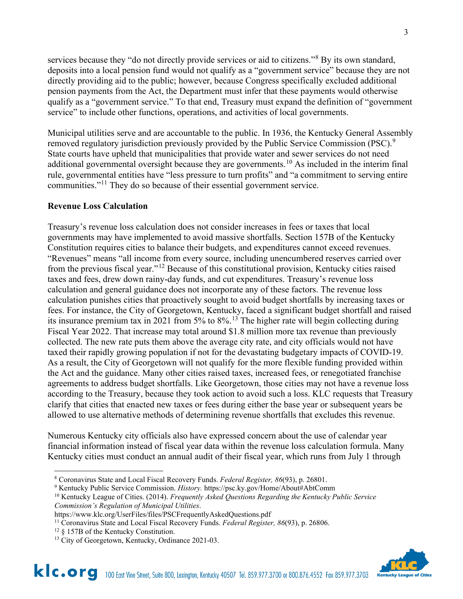services because they "do not directly provide services or aid to citizens."<sup>[8](#page-2-0)</sup> By its own standard, deposits into a local pension fund would not qualify as a "government service" because they are not directly providing aid to the public; however, because Congress specifically excluded additional pension payments from the Act, the Department must infer that these payments would otherwise qualify as a "government service." To that end, Treasury must expand the definition of "government service" to include other functions, operations, and activities of local governments.

Municipal utilities serve and are accountable to the public. In 1936, the Kentucky General Assembly removed regulatory jurisdiction previously provided by the Public Service Commission (PSC).<sup>[9](#page-2-1)</sup> State courts have upheld that municipalities that provide water and sewer services do not need additional governmental oversight because they are governments.<sup>[10](#page-2-2)</sup> As included in the interim final rule, governmental entities have "less pressure to turn profits" and "a commitment to serving entire communities."<sup>[11](#page-2-3)</sup> They do so because of their essential government service.

#### **Revenue Loss Calculation**

Treasury's revenue loss calculation does not consider increases in fees or taxes that local governments may have implemented to avoid massive shortfalls. Section 157B of the Kentucky Constitution requires cities to balance their budgets, and expenditures cannot exceed revenues. "Revenues" means "all income from every source, including unencumbered reserves carried over from the previous fiscal year."[12](#page-2-4) Because of this constitutional provision, Kentucky cities raised taxes and fees, drew down rainy-day funds, and cut expenditures. Treasury's revenue loss calculation and general guidance does not incorporate any of these factors. The revenue loss calculation punishes cities that proactively sought to avoid budget shortfalls by increasing taxes or fees. For instance, the City of Georgetown, Kentucky, faced a significant budget shortfall and raised its insurance premium tax in 2021 from 5% to 8%.[13](#page-2-5) The higher rate will begin collecting during Fiscal Year 2022. That increase may total around \$1.8 million more tax revenue than previously collected. The new rate puts them above the average city rate, and city officials would not have taxed their rapidly growing population if not for the devastating budgetary impacts of COVID-19. As a result, the City of Georgetown will not qualify for the more flexible funding provided within the Act and the guidance. Many other cities raised taxes, increased fees, or renegotiated franchise agreements to address budget shortfalls. Like Georgetown, those cities may not have a revenue loss according to the Treasury, because they took action to avoid such a loss. KLC requests that Treasury clarify that cities that enacted new taxes or fees during either the base year or subsequent years be allowed to use alternative methods of determining revenue shortfalls that excludes this revenue.

Numerous Kentucky city officials also have expressed concern about the use of calendar year financial information instead of fiscal year data within the revenue loss calculation formula. Many Kentucky cities must conduct an annual audit of their fiscal year, which runs from July 1 through

<span id="page-2-2"></span><sup>10</sup> Kentucky League of Cities. (2014). *Frequently Asked Questions Regarding the Kentucky Public Service Commission's Regulation of Municipal Utilities*.



<span id="page-2-0"></span><sup>8</sup> Coronavirus State and Local Fiscal Recovery Funds. *Federal Register, 86*(93), p. 26801.

<span id="page-2-1"></span><sup>9</sup> Kentucky Public Service Commission. *History.* https://psc.ky.gov/Home/About#AbtComm

https://www.klc.org/UserFiles/files/PSCFrequentlyAskedQuestions.pdf

<span id="page-2-3"></span><sup>11</sup> Coronavirus State and Local Fiscal Recovery Funds. *Federal Register, 86*(93), p. 26806.

<span id="page-2-4"></span><sup>&</sup>lt;sup>12</sup> § 157B of the Kentucky Constitution.

<span id="page-2-5"></span><sup>&</sup>lt;sup>13</sup> City of Georgetown, Kentucky, Ordinance 2021-03.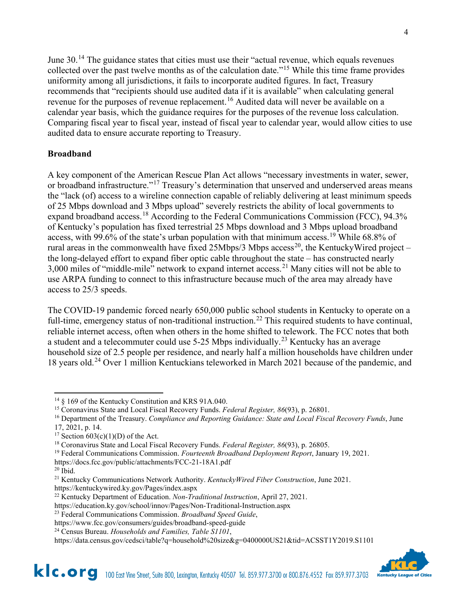June 30.<sup>[14](#page-3-0)</sup> The guidance states that cities must use their "actual revenue, which equals revenues collected over the past twelve months as of the calculation date."<sup>[15](#page-3-1)</sup> While this time frame provides uniformity among all jurisdictions, it fails to incorporate audited figures. In fact, Treasury recommends that "recipients should use audited data if it is available" when calculating general revenue for the purposes of revenue replacement.<sup>[16](#page-3-2)</sup> Audited data will never be available on a calendar year basis, which the guidance requires for the purposes of the revenue loss calculation. Comparing fiscal year to fiscal year, instead of fiscal year to calendar year, would allow cities to use audited data to ensure accurate reporting to Treasury.

## **Broadband**

A key component of the American Rescue Plan Act allows "necessary investments in water, sewer, or broadband infrastructure."<sup>[17](#page-3-3)</sup> Treasury's determination that unserved and underserved areas means the "lack (of) access to a wireline connection capable of reliably delivering at least minimum speeds of 25 Mbps download and 3 Mbps upload" severely restricts the ability of local governments to expand broadband access.<sup>[18](#page-3-4)</sup> According to the Federal Communications Commission (FCC), 94.3% of Kentucky's population has fixed terrestrial 25 Mbps download and 3 Mbps upload broadband access, with 99.6% of the state's urban population with that minimum access.<sup>[19](#page-3-5)</sup> While 68.8% of rural areas in the commonwealth have fixed 25Mbps/3 Mbps access<sup>20</sup>, the KentuckyWired project – the long-delayed effort to expand fiber optic cable throughout the state – has constructed nearly 3,000 miles of "middle-mile" network to expand internet access.<sup>[21](#page-3-7)</sup> Many cities will not be able to use ARPA funding to connect to this infrastructure because much of the area may already have access to 25/3 speeds.

The COVID-19 pandemic forced nearly 650,000 public school students in Kentucky to operate on a full-time, emergency status of non-traditional instruction.<sup>[22](#page-3-8)</sup> This required students to have continual, reliable internet access, often when others in the home shifted to telework. The FCC notes that both a student and a telecommuter could use 5-25 Mbps individually.<sup>[23](#page-3-9)</sup> Kentucky has an average household size of 2.5 people per residence, and nearly half a million households have children under 18 years old.[24](#page-3-10) Over 1 million Kentuckians teleworked in March 2021 because of the pandemic, and

- https://docs.fcc.gov/public/attachments/FCC-21-18A1.pdf
- <span id="page-3-6"></span> $20$  Ibid.

<span id="page-3-10"></span>https://data.census.gov/cedsci/table?q=household%20size&g=0400000US21&tid=ACSST1Y2019.S1101



<span id="page-3-0"></span><sup>14</sup> § 169 of the Kentucky Constitution and KRS 91A.040.

<span id="page-3-1"></span><sup>15</sup> Coronavirus State and Local Fiscal Recovery Funds. *Federal Register, 86*(93), p. 26801.

<span id="page-3-2"></span><sup>16</sup> Department of the Treasury. *Compliance and Reporting Guidance: State and Local Fiscal Recovery Funds*, June

<span id="page-3-3"></span>

<sup>17, 2021,</sup> p. 14.<br><sup>17</sup> Section 603(c)(1)(D) of the Act.

<span id="page-3-4"></span><sup>&</sup>lt;sup>18</sup> Coronavirus State and Local Fiscal Recovery Funds. *Federal Register*, 86(93), p. 26805.

<span id="page-3-5"></span><sup>19</sup> Federal Communications Commission. *Fourteenth Broadband Deployment Report*, January 19, 2021.

<span id="page-3-7"></span><sup>21</sup> Kentucky Communications Network Authority. *KentuckyWired Fiber Construction*, June 2021.

https://kentuckywired.ky.gov/Pages/index.aspx

<span id="page-3-8"></span><sup>22</sup> Kentucky Department of Education. *Non-Traditional Instruction*, April 27, 2021.

https://education.ky.gov/school/innov/Pages/Non-Traditional-Instruction.aspx

<span id="page-3-9"></span><sup>23</sup> Federal Communications Commission. *Broadband Speed Guide*,

https://www.fcc.gov/consumers/guides/broadband-speed-guide

<sup>24</sup> Census Bureau. *Households and Families, Table S1101*,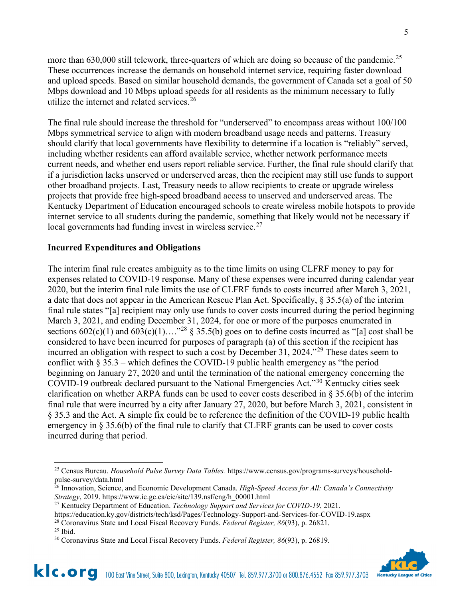more than 630,000 still telework, three-quarters of which are doing so because of the pandemic.<sup>[25](#page-4-0)</sup> These occurrences increase the demands on household internet service, requiring faster download and upload speeds. Based on similar household demands, the government of Canada set a goal of 50 Mbps download and 10 Mbps upload speeds for all residents as the minimum necessary to fully utilize the internet and related services.<sup>[26](#page-4-1)</sup>

The final rule should increase the threshold for "underserved" to encompass areas without 100/100 Mbps symmetrical service to align with modern broadband usage needs and patterns. Treasury should clarify that local governments have flexibility to determine if a location is "reliably" served, including whether residents can afford available service, whether network performance meets current needs, and whether end users report reliable service. Further, the final rule should clarify that if a jurisdiction lacks unserved or underserved areas, then the recipient may still use funds to support other broadband projects. Last, Treasury needs to allow recipients to create or upgrade wireless projects that provide free high-speed broadband access to unserved and underserved areas. The Kentucky Department of Education encouraged schools to create wireless mobile hotspots to provide internet service to all students during the pandemic, something that likely would not be necessary if local governments had funding invest in wireless service. $27$ 

### **Incurred Expenditures and Obligations**

The interim final rule creates ambiguity as to the time limits on using CLFRF money to pay for expenses related to COVID-19 response. Many of these expenses were incurred during calendar year 2020, but the interim final rule limits the use of CLFRF funds to costs incurred after March 3, 2021, a date that does not appear in the American Rescue Plan Act. Specifically, § 35.5(a) of the interim final rule states "[a] recipient may only use funds to cover costs incurred during the period beginning March 3, 2021, and ending December 31, 2024, for one or more of the purposes enumerated in sections  $602(c)(1)$  and  $603(c)(1)...$ <sup>[28](#page-4-3)</sup> § 35.5(b) goes on to define costs incurred as "[a] cost shall be considered to have been incurred for purposes of paragraph (a) of this section if the recipient has incurred an obligation with respect to such a cost by December 31, 2024.<sup>"[29](#page-4-4)</sup> These dates seem to conflict with  $\S 35.3$  – which defines the COVID-19 public health emergency as "the period beginning on January 27, 2020 and until the termination of the national emergency concerning the COVID-19 outbreak declared pursuant to the National Emergencies Act."[30](#page-4-5) Kentucky cities seek clarification on whether ARPA funds can be used to cover costs described in § 35.6(b) of the interim final rule that were incurred by a city after January 27, 2020, but before March 3, 2021, consistent in § 35.3 and the Act. A simple fix could be to reference the definition of the COVID-19 public health emergency in § 35.6(b) of the final rule to clarify that CLFRF grants can be used to cover costs incurred during that period.

<sup>28</sup> Coronavirus State and Local Fiscal Recovery Funds. *Federal Register, 86*(93), p. 26821.



<span id="page-4-0"></span><sup>25</sup> Census Bureau. *Household Pulse Survey Data Tables.* https://www.census.gov/programs-surveys/householdpulse-survey/data.html

<span id="page-4-1"></span><sup>26</sup> Innovation, Science, and Economic Development Canada. *High-Speed Access for All: Canada's Connectivity Strategy*, 2019. https://www.ic.gc.ca/eic/site/139.nsf/eng/h\_00001.html

<sup>27</sup> Kentucky Department of Education. *Technology Support and Services for COVID-19*, 2021.

<span id="page-4-3"></span><span id="page-4-2"></span>https://education.ky.gov/districts/tech/ksd/Pages/Technology-Support-and-Services-for-COVID-19.aspx

<span id="page-4-4"></span> $29$  Ibid.

<span id="page-4-5"></span><sup>30</sup> Coronavirus State and Local Fiscal Recovery Funds. *Federal Register, 86*(93), p. 26819.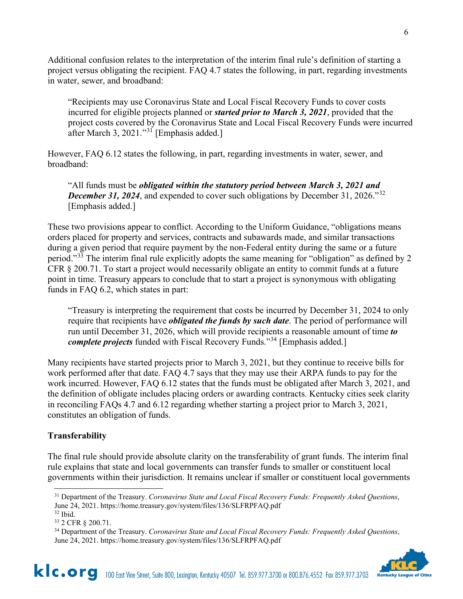Additional confusion relates to the interpretation of the interim final rule's definition of starting a project versus obligating the recipient. FAQ 4.7 states the following, in part, regarding investments in water, sewer, and broadband:

"Recipients may use Coronavirus State and Local Fiscal Recovery Funds to cover costs incurred for eligible projects planned or *started prior to March 3, 2021*, provided that the project costs covered by the Coronavirus State and Local Fiscal Recovery Funds were incurred after March 3, 2021."<sup>[31](#page-5-0)</sup> [Emphasis added.]

However, FAQ 6.12 states the following, in part, regarding investments in water, sewer, and broadband:

"All funds must be *obligated within the statutory period between March 3, 2021 and December 31, 2024*, and expended to cover such obligations by December 31, 2026."<sup>[32](#page-5-1)</sup> [Emphasis added.]

These two provisions appear to conflict. According to the Uniform Guidance, "obligations means orders placed for property and services, contracts and subawards made, and similar transactions during a given period that require payment by the non-Federal entity during the same or a future period."[33](#page-5-2) The interim final rule explicitly adopts the same meaning for "obligation" as defined by 2 CFR § 200.71. To start a project would necessarily obligate an entity to commit funds at a future point in time. Treasury appears to conclude that to start a project is synonymous with obligating funds in FAQ 6.2, which states in part:

"Treasury is interpreting the requirement that costs be incurred by December 31, 2024 to only require that recipients have *obligated the funds by such date*. The period of performance will run until December 31, 2026, which will provide recipients a reasonable amount of time *to complete projects* funded with Fiscal Recovery Funds."[34](#page-5-3) [Emphasis added.]

Many recipients have started projects prior to March 3, 2021, but they continue to receive bills for work performed after that date. FAQ 4.7 says that they may use their ARPA funds to pay for the work incurred. However, FAQ 6.12 states that the funds must be obligated after March 3, 2021, and the definition of obligate includes placing orders or awarding contracts. Kentucky cities seek clarity in reconciling FAQs 4.7 and 6.12 regarding whether starting a project prior to March 3, 2021, constitutes an obligation of funds.

# **Transferability**

The final rule should provide absolute clarity on the transferability of grant funds. The interim final rule explains that state and local governments can transfer funds to smaller or constituent local governments within their jurisdiction. It remains unclear if smaller or constituent local governments

<span id="page-5-3"></span><span id="page-5-2"></span><sup>34</sup> Department of the Treasury. *Coronavirus State and Local Fiscal Recovery Funds: Frequently Asked Questions*, June 24, 2021. https://home.treasury.gov/system/files/136/SLFRPFAQ.pdf



<span id="page-5-0"></span><sup>31</sup> Department of the Treasury. *Coronavirus State and Local Fiscal Recovery Funds: Frequently Asked Questions*, June 24, 2021. https://home.treasury.gov/system/files/136/SLFRPFAQ.pdf  $32$  Ibid.

<span id="page-5-1"></span><sup>33</sup> 2 CFR § 200.71.